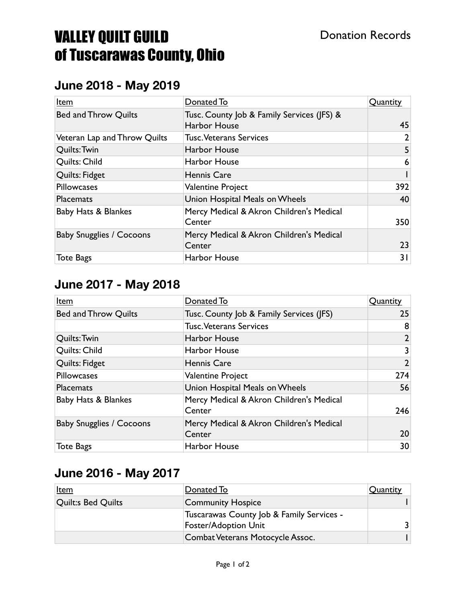## VALLEY QUILT GUILD of Tuscarawas County, Ohio

#### **June 2018 - May 2019**

| Item                            | Donated To                                                        | Quantity |
|---------------------------------|-------------------------------------------------------------------|----------|
| <b>Bed and Throw Quilts</b>     | Tusc. County Job & Family Services (JFS) &<br><b>Harbor House</b> | 45       |
| Veteran Lap and Throw Quilts    | <b>Tusc. Veterans Services</b>                                    | 2        |
| Quilts: Twin                    | <b>Harbor House</b>                                               |          |
| Quilts: Child                   | Harbor House                                                      | 6        |
| Quilts: Fidget                  | <b>Hennis Care</b>                                                |          |
| Pillowcases                     | <b>Valentine Project</b>                                          | 392      |
| <b>Placemats</b>                | Union Hospital Meals on Wheels                                    | 40       |
| Baby Hats & Blankes             | Mercy Medical & Akron Children's Medical<br>Center                | 350      |
| <b>Baby Snugglies / Cocoons</b> | Mercy Medical & Akron Children's Medical<br>Center                | 23       |
| <b>Tote Bags</b>                | Harbor House                                                      | 31       |

#### **June 2017 - May 2018**

| Item                            | Donated To                                         | Quantity       |
|---------------------------------|----------------------------------------------------|----------------|
| <b>Bed and Throw Quilts</b>     | Tusc. County Job & Family Services (JFS)           | 25             |
|                                 | <b>Tusc. Veterans Services</b>                     | 8              |
| Quilts: Twin                    | Harbor House                                       | 2              |
| Quilts: Child                   | Harbor House                                       | 3              |
| Quilts: Fidget                  | <b>Hennis Care</b>                                 | $\overline{2}$ |
| <b>Pillowcases</b>              | <b>Valentine Project</b>                           | 274            |
| <b>Placemats</b>                | Union Hospital Meals on Wheels                     | 56             |
| Baby Hats & Blankes             | Mercy Medical & Akron Children's Medical<br>Center | 246            |
| <b>Baby Snugglies / Cocoons</b> | Mercy Medical & Akron Children's Medical<br>Center | 20             |
| <b>Tote Bags</b>                | <b>Harbor House</b>                                | 30             |

### **June 2016 - May 2017**

| <u>Item</u>               | Donated To                                                               | Quantity |
|---------------------------|--------------------------------------------------------------------------|----------|
| <b>Quilt:s Bed Quilts</b> | <b>Community Hospice</b>                                                 |          |
|                           | Tuscarawas County Job & Family Services -<br><b>Foster/Adoption Unit</b> |          |
|                           | Combat Veterans Motocycle Assoc.                                         |          |